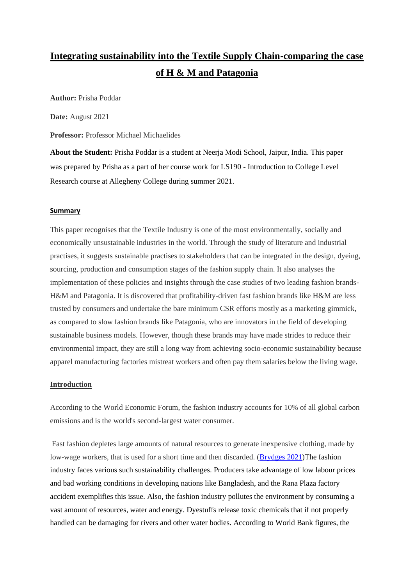# **Integrating sustainability into the Textile Supply Chain-comparing the case of H & M and Patagonia**

**Author:** Prisha Poddar

**Date:** August 2021

**Professor:** Professor Michael Michaelides

**About the Student:** Prisha Poddar is a student at Neerja Modi School, Jaipur, India. This paper was prepared by Prisha as a part of her course work for LS190 - Introduction to College Level Research course at Allegheny College during summer 2021.

#### **Summary**

This paper recognises that the Textile Industry is one of the most environmentally, socially and economically unsustainable industries in the world. Through the study of literature and industrial practises, it suggests sustainable practises to stakeholders that can be integrated in the design, dyeing, sourcing, production and consumption stages of the fashion supply chain. It also analyses the implementation of these policies and insights through the case studies of two leading fashion brands-H&M and Patagonia. It is discovered that profitability-driven fast fashion brands like H&M are less trusted by consumers and undertake the bare minimum CSR efforts mostly as a marketing gimmick, as compared to slow fashion brands like Patagonia, who are innovators in the field of developing sustainable business models. However, though these brands may have made strides to reduce their environmental impact, they are still a long way from achieving socio-economic sustainability because apparel manufacturing factories mistreat workers and often pay them salaries below the living wage.

## **Introduction**

According to the World Economic Forum, the fashion industry accounts for 10% of all global carbon emissions and is the world's second-largest water consumer.

Fast fashion depletes large amounts of natural resources to generate inexpensive clothing, made by low-wage workers, that is used for a short time and then discarded. [\(Brydges 2021\)](https://www.sciencedirect.com/science/article/pii/S0959652621004650)The fashion industry faces various such sustainability challenges. Producers take advantage of low labour prices and bad working conditions in developing nations like Bangladesh, and the Rana Plaza factory accident exemplifies this issue. Also, the fashion industry pollutes the environment by consuming a vast amount of resources, water and energy. Dyestuffs release toxic chemicals that if not properly handled can be damaging for rivers and other water bodies. According to World Bank figures, the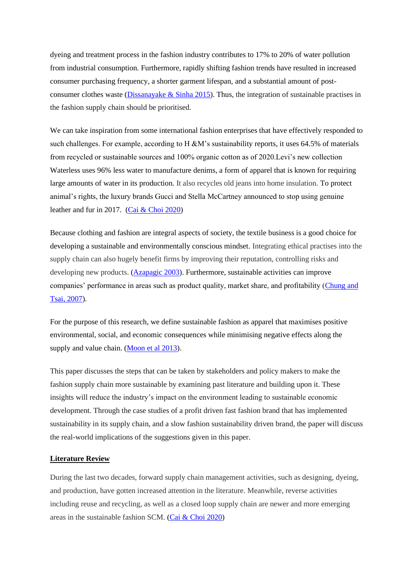dyeing and treatment process in the fashion industry contributes to 17% to 20% of water pollution from industrial consumption. Furthermore, rapidly shifting fashion trends have resulted in increased consumer purchasing frequency, a shorter garment lifespan, and a substantial amount of postconsumer clothes waste (Dissanayake  $\&$  Sinha 2015). Thus, the integration of sustainable practises in the fashion supply chain should be prioritised.

We can take inspiration from some international fashion enterprises that have effectively responded to such challenges. For example, according to H  $\&M$ 's sustainability reports, it uses 64.5% of materials from recycled or sustainable sources and 100% organic cotton as of 2020.Levi's new collection Waterless uses 96% less water to manufacture denims, a form of apparel that is known for requiring large amounts of water in its production. It also recycles old jeans into home insulation. To protect animal's rights, the luxury brands Gucci and Stella McCartney announced to stop using genuine leather and fur in 2017. [\(Cai & Choi 2020\)](https://www.sciencedirect.com/science/article/pii/S136655452030661X#fn8)

Because clothing and fashion are integral aspects of society, the textile business is a good choice for developing a sustainable and environmentally conscious mindset. Integrating ethical practises into the supply chain can also hugely benefit firms by improving their reputation, controlling risks and developing new products. [\(Azapagic 2003\)](https://www.sciencedirect.com/science/article/pii/S0957582003711045). Furthermore, sustainable activities can improve companies' performance in areas such as product quality, market share, and profitability [\(Chung and](https://www.proquest.com/docview/233230025?pq-origsite=gscholar&fromopenview=true)  [Tsai, 2007\)](https://www.proquest.com/docview/233230025?pq-origsite=gscholar&fromopenview=true).

For the purpose of this research, we define sustainable fashion as apparel that maximises positive environmental, social, and economic consequences while minimising negative effects along the supply and value chain. [\(Moon et al 2013\)](https://www.sciencedirect.com/science/article/pii/S0925527313001102#bib11).

This paper discusses the steps that can be taken by stakeholders and policy makers to make the fashion supply chain more sustainable by examining past literature and building upon it. These insights will reduce the industry's impact on the environment leading to sustainable economic development. Through the case studies of a profit driven fast fashion brand that has implemented sustainability in its supply chain, and a slow fashion sustainability driven brand, the paper will discuss the real-world implications of the suggestions given in this paper.

## **Literature Review**

During the last two decades, forward supply chain management activities, such as designing, dyeing, and production, have gotten increased attention in the literature. Meanwhile, reverse activities including reuse and recycling, as well as a closed loop supply chain are newer and more emerging areas in the sustainable fashion SCM. [\(Cai & Choi 2020\)](https://www.sciencedirect.com/science/article/pii/S136655452030661X#fn8)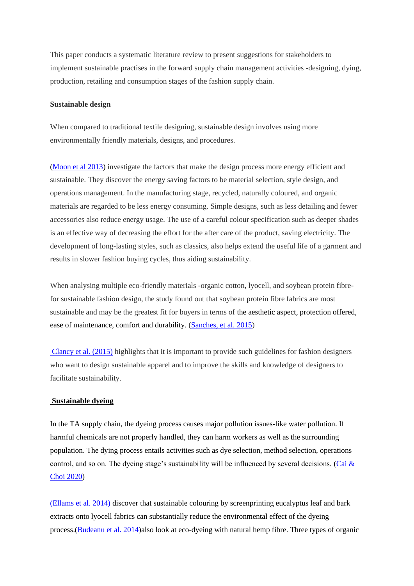This paper conducts a systematic literature review to present suggestions for stakeholders to implement sustainable practises in the forward supply chain management activities -designing, dying, production, retailing and consumption stages of the fashion supply chain.

# **Sustainable design**

When compared to traditional textile designing, sustainable design involves using more environmentally friendly materials, designs, and procedures.

[\(Moon et al 2013\)](https://www.sciencedirect.com/science/article/pii/S0925527313001102#bib11) investigate the factors that make the design process more energy efficient and sustainable. They discover the energy saving factors to be material selection, style design, and operations management. In the manufacturing stage, recycled, naturally coloured, and organic materials are regarded to be less energy consuming. Simple designs, such as less detailing and fewer accessories also reduce energy usage. The use of a careful colour specification such as deeper shades is an effective way of decreasing the effort for the after care of the product, saving electricity. The development of long-lasting styles, such as classics, also helps extend the useful life of a garment and results in slower fashion buying cycles, thus aiding sustainability.

When analysing multiple eco-friendly materials -organic cotton, lyocell, and soybean protein fibrefor sustainable fashion design, the study found out that soybean protein fibre fabrics are most sustainable and may be the greatest fit for buyers in terms of the aesthetic aspect, protection offered, ease of maintenance, comfort and durability. [\(Sanches, et al. 2015\)](http://repositorio.unicamp.br/bitstream/REPOSIP/346693/2/000366562800006.pdf)

[Clancy et al. \(2015\)](https://www.sciencedirect.com/science/article/pii/S0959652615002139) highlights that it is important to provide such guidelines for fashion designers who want to design sustainable apparel and to improve the skills and knowledge of designers to facilitate sustainability.

#### **Sustainable dyeing**

In the TA supply chain, the dyeing process causes major pollution issues-like water pollution. If harmful chemicals are not properly handled, they can harm workers as well as the surrounding population. The dying process entails activities such as dye selection, method selection, operations control, and so on. The dyeing stage's sustainability will be influenced by several decisions. (Cai  $\&$ [Choi 2020\)](https://www.sciencedirect.com/science/article/pii/S136655452030661X#fn8)

[\(Ellams et al. 2014\)](https://d1wqtxts1xzle7.cloudfront.net/52261109/An_approach_to_sustainable_coloration_of20170322-30463-1yifmlq.pdf?1490215292=&response-content-disposition=inline%3B+filename%3DAn_approach_to_sustainable_coloration_of.pdf&Expires=1627223593&Signature=HGOQ1U7dFSMOe5GA3VmrZr8OCjQ7uN2IegUO4ItM-AAwbqADZz4Y182nR5eLI7gVey8O38zeloKThhte-QhymgchzlErQsbx71dUSM1ek4sVk-04Jr6aAfiEtShfhSi2gsx0AZHN3MatkbdhKli2Aop3s~NoYdNFtvE3mCISuT4uLF53b2UHiadM1MU7VXdCQghHMBezacE0axX~2NJllcgkJngg5zzL9o12eGREGDdYTaKPlHIg-WXdow5Roqa9rfJMkP9oj~KhexCxRo~xhoeX0gV8zlZs4Mk8l19IZHSwNk7sg~J6n9wBThObJfjcrMaNdaj~bZyahPstTiWsqg__&Key-Pair-Id=APKAJLOHF5GGSLRBV4ZA) discover that sustainable colouring by screenprinting eucalyptus leaf and bark extracts onto lyocell fabrics can substantially reduce the environmental effect of the dyeing process.[\(Budeanu et al. 2014\)](https://www.2bfuntex.eu/sites/default/files/publication-files/Autex%20Research%20Journal%2011-15%201014%20on%20line%20(1)_0.pdf)also look at eco-dyeing with natural hemp fibre. Three types of organic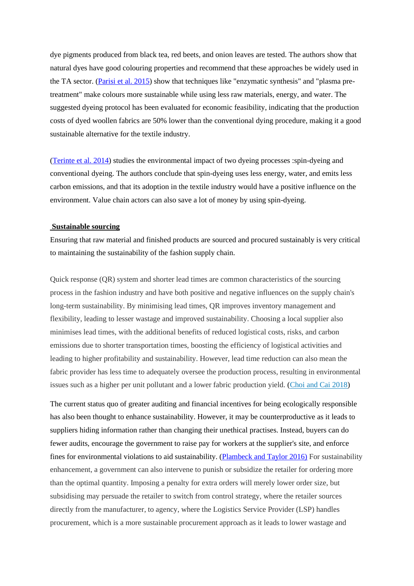dye pigments produced from black tea, red beets, and onion leaves are tested. The authors show that natural dyes have good colouring properties and recommend that these approaches be widely used in the TA sector. [\(Parisi et al. 2015\)](https://www.sciencedirect.com/science/article/pii/S095965261500757X) show that techniques like "enzymatic synthesis" and "plasma pretreatment" make colours more sustainable while using less raw materials, energy, and water. The suggested dyeing protocol has been evaluated for economic feasibility, indicating that the production costs of dyed woollen fabrics are 50% lower than the conventional dying procedure, making it a good sustainable alternative for the textile industry.

[\(Terinte et al. 2014\)](https://www.sciencedirect.com/science/article/pii/S0959652614001346) studies the environmental impact of two dyeing processes :spin-dyeing and conventional dyeing. The authors conclude that spin-dyeing uses less energy, water, and emits less carbon emissions, and that its adoption in the textile industry would have a positive influence on the environment. Value chain actors can also save a lot of money by using spin-dyeing.

#### **Sustainable sourcing**

Ensuring that raw material and finished products are sourced and procured sustainably is very critical to maintaining the sustainability of the fashion supply chain.

Quick response (QR) system and shorter lead times are common characteristics of the sourcing process in the fashion industry and have both positive and negative influences on the supply chain's long-term sustainability. By minimising lead times, QR improves inventory management and flexibility, leading to lesser wastage and improved sustainability. Choosing a local supplier also minimises lead times, with the additional benefits of reduced logistical costs, risks, and carbon emissions due to shorter transportation times, boosting the efficiency of logistical activities and leading to higher profitability and sustainability. However, lead time reduction can also mean the fabric provider has less time to adequately oversee the production process, resulting in environmental issues such as a higher per unit pollutant and a lower fabric production yield. [\(Choi and Cai 2018\)](https://www.proquest.com/docview/2022456359?accountid=8268)

The current status quo of greater auditing and financial incentives for being ecologically responsible has also been thought to enhance sustainability. However, it may be counterproductive as it leads to suppliers hiding information rather than changing their unethical practises. Instead, buyers can do fewer audits, encourage the government to raise pay for workers at the supplier's site, and enforce fines for environmental violations to aid sustainability. [\(Plambeck and Taylor 2016\)](https://escholarship.org/content/qt3hv622tr/qt3hv622tr.pdf) For sustainability enhancement, a government can also intervene to punish or subsidize the retailer for ordering more than the optimal quantity. Imposing a penalty for extra orders will merely lower order size, but subsidising may persuade the retailer to switch from control strategy, where the retailer sources directly from the manufacturer, to agency, where the Logistics Service Provider (LSP) handles procurement, which is a more sustainable procurement approach as it leads to lower wastage and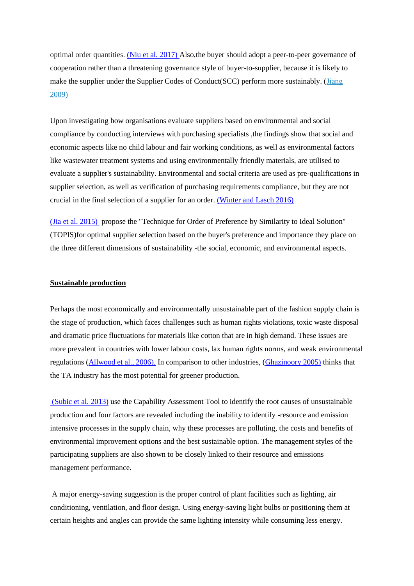optimal order quantities. [\(Niu et al. 2017\)](https://www.sciencedirect.com/science/article/pii/S1366554517306762) Also,the buyer should adopt a peer-to-peer governance of cooperation rather than a threatening governance style of buyer-to-supplier, because it is likely to make the supplier under the Supplier Codes of Conduct(SCC) perform more sustainably. [\(Jiang](https://www.sciencedirect.com/science/article/abs/pii/S0272696308000818)  [2009\)](https://www.sciencedirect.com/science/article/abs/pii/S0272696308000818)

Upon investigating how organisations evaluate suppliers based on environmental and social compliance by conducting interviews with purchasing specialists ,the findings show that social and economic aspects like no child labour and fair working conditions, as well as environmental factors like wastewater treatment systems and using environmentally friendly materials, are utilised to evaluate a supplier's sustainability. Environmental and social criteria are used as pre-qualifications in supplier selection, as well as verification of purchasing requirements compliance, but they are not crucial in the final selection of a supplier for an order. [\(Winter and Lasch 2016\)](https://www.sciencedirect.com/science/article/pii/S0959652616311076)

[\(Jia et al. 2015\)](https://www.mdpi.com/2071-1050/7/2/1603) propose the "Technique for Order of Preference by Similarity to Ideal Solution" (TOPIS)for optimal supplier selection based on the buyer's preference and importance they place on the three different dimensions of sustainability -the social, economic, and environmental aspects.

## **Sustainable production**

Perhaps the most economically and environmentally unsustainable part of the fashion supply chain is the stage of production, which faces challenges such as human rights violations, toxic waste disposal and dramatic price fluctuations for materials like cotton that are in high demand. These issues are more prevalent in countries with lower labour costs, lax human rights norms, and weak environmental regulations [\(Allwood et al., 2006\).](https://www.researchgate.net/profile/Soren-Laursen/publication/282358796_Well_dressed_The_present_and_future_sustainability_of_clothing_and_textiles_in_the_United_KingdomTechnical_annex/links/560e59e208ae48337515ec8d/Well-dressed-The-present-and-future-sustainability-of-clothing-and-textiles-in-the-United-KingdomTechnical-annex.pdf) In comparison to other industries, [\(Ghazinoory 2005\)](https://www.sciencedirect.com/science/article/pii/S0959652604000435) thinks that the TA industry has the most potential for greener production.

[\(Subic et al. 2013\)](https://www.mdpi.com/2071-1050/5/8/3543) use the Capability Assessment Tool to identify the root causes of unsustainable production and four factors are revealed including the inability to identify -resource and emission intensive processes in the supply chain, why these processes are polluting, the costs and benefits of environmental improvement options and the best sustainable option. The management styles of the participating suppliers are also shown to be closely linked to their resource and emissions management performance.

A major energy-saving suggestion is the proper control of plant facilities such as lighting, air conditioning, ventilation, and floor design. Using energy-saving light bulbs or positioning them at certain heights and angles can provide the same lighting intensity while consuming less energy.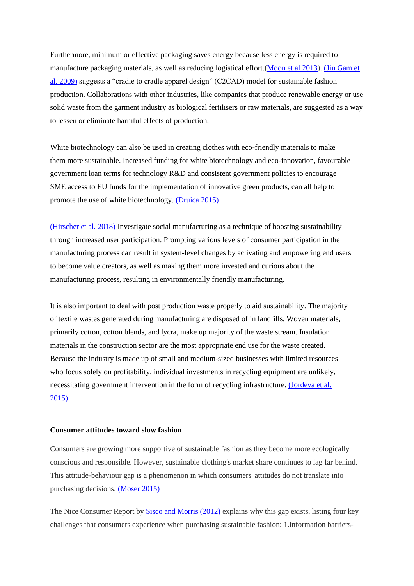Furthermore, minimum or effective packaging saves energy because less energy is required to manufacture packaging materials, as well as reducing logistical effort.[\(Moon et al 2013\)](https://www.sciencedirect.com/science/article/pii/S0925527313001102#bib11)[. \(Jin Gam et](https://www.researchgate.net/profile/Hae-Jin-Gam-2/publication/235276183_C2CAD_A_sustainable_apparel_design_and_production_model/links/5c124478a6fdcc494ff0aee4/C2CAD-A-sustainable-apparel-design-and-production-model.pdf)  [al. 2009\)](https://www.researchgate.net/profile/Hae-Jin-Gam-2/publication/235276183_C2CAD_A_sustainable_apparel_design_and_production_model/links/5c124478a6fdcc494ff0aee4/C2CAD-A-sustainable-apparel-design-and-production-model.pdf) suggests a "cradle to cradle apparel design" (C2CAD) model for sustainable fashion production. Collaborations with other industries, like companies that produce renewable energy or use solid waste from the garment industry as biological fertilisers or raw materials, are suggested as a way to lessen or eliminate harmful effects of production.

White biotechnology can also be used in creating clothes with eco-friendly materials to make them more sustainable. Increased funding for white biotechnology and eco-innovation, favourable government loan terms for technology R&D and consistent government policies to encourage SME access to EU funds for the implementation of innovative green products, can all help to promote the use of white biotechnology. [\(Druica 2015\)](https://e-repository.org/rbl/vol.20/iss.1/6.pdf)

[\(Hirscher et al. 2018\)](https://www.sciencedirect.com/science/article/pii/S0959652617326719) Investigate social manufacturing as a technique of boosting sustainability through increased user participation. Prompting various levels of consumer participation in the manufacturing process can result in system-level changes by activating and empowering end users to become value creators, as well as making them more invested and curious about the manufacturing process, resulting in environmentally friendly manufacturing.

It is also important to deal with post production waste properly to aid sustainability. The majority of textile wastes generated during manufacturing are disposed of in landfills. Woven materials, primarily cotton, cotton blends, and lycra, make up majority of the waste stream. Insulation materials in the construction sector are the most appropriate end use for the waste created. Because the industry is made up of small and medium-sized businesses with limited resources who focus solely on profitability, individual investments in recycling equipment are unlikely, necessitating government intervention in the form of recycling infrastructure. [\(Jordeva et al.](http://yadda.icm.edu.pl/yadda/element/bwmeta1.element.baztech-dd9d31ef-b018-49cf-8851-d02f37940b1f)  [2015\)](http://yadda.icm.edu.pl/yadda/element/bwmeta1.element.baztech-dd9d31ef-b018-49cf-8851-d02f37940b1f)

# **Consumer attitudes toward slow fashion**

Consumers are growing more supportive of sustainable fashion as they become more ecologically conscious and responsible. However, sustainable clothing's market share continues to lag far behind. This attitude-behaviour gap is a phenomenon in which consumers' attitudes do not translate into purchasing decisions. [\(Moser 2015\)](https://www.emerald.com/insight/content/doi/10.1108/JCM-10-2014-1179/full/html)

The Nice Consumer Report by [Sisco and Morris \(2012\)](https://www.bsr.org/en/our-insights/report-view/nice-consumer-research-summary) explains why this gap exists, listing four key challenges that consumers experience when purchasing sustainable fashion: 1.information barriers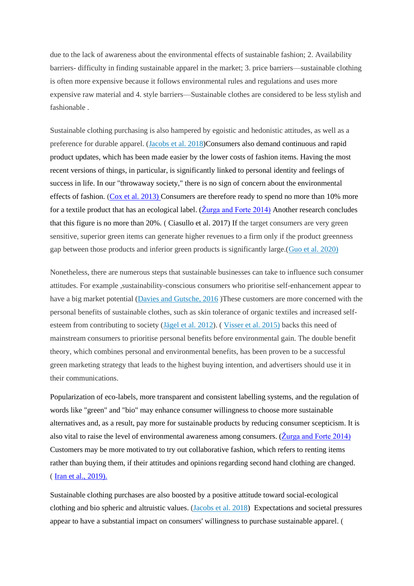due to the lack of awareness about the environmental effects of sustainable fashion; 2. Availability barriers- difficulty in finding sustainable apparel in the market; 3. price barriers—sustainable clothing is often more expensive because it follows environmental rules and regulations and uses more expensive raw material and 4. style barriers—Sustainable clothes are considered to be less stylish and fashionable .

Sustainable clothing purchasing is also hampered by egoistic and hedonistic attitudes, as well as a preference for durable apparel. [\(Jacobs et al. 2018\)](https://www.sciencedirect.com/science/article/pii/S0959652618323096)Consumers also demand continuous and rapid product updates, which has been made easier by the lower costs of fashion items. Having the most recent versions of things, in particular, is significantly linked to personal identity and feelings of success in life. In our "throwaway society," there is no sign of concern about the environmental effects of fashion. [\(Cox et al. 2013\)](https://www.sciencedirect.com/science/article/pii/S092134491300102X) Consumers are therefore ready to spend no more than 10% more for a textile product that has an ecological label. ( $\check{Z}$ urga and Forte 2014) Another research concludes that this figure is no more than 20%. ( Ciasullo et al. 2017) If the target consumers are very green sensitive, superior green items can generate higher revenues to a firm only if the product greenness gap between those products and inferior green products is significantly large.[\(Guo et al. 2020\)](https://www.sciencedirect.com/science/article/pii/S0377221719306290)

Nonetheless, there are numerous steps that sustainable businesses can take to influence such consumer attitudes. For example ,sustainability-conscious consumers who prioritise self-enhancement appear to have a big market potential [\(Davies and Gutsche, 2016](https://www.emerald.com/insight/content/doi/10.1108/EJM-11-2015-0795/full/html) )These customers are more concerned with the personal benefits of sustainable clothes, such as skin tolerance of organic textiles and increased selfesteem from contributing to society (Jägel et [al. 2012\)](https://www.tandfonline.com/doi/abs/10.1080/0267257X.2012.659280). ( [Visser et al. 2015\)](https://www.mdpi.com/2071-1050/7/7/8420/htm) backs this need of mainstream consumers to prioritise personal benefits before environmental gain. The double benefit theory, which combines personal and environmental benefits, has been proven to be a successful green marketing strategy that leads to the highest buying intention, and advertisers should use it in their communications.

Popularization of eco-labels, more transparent and consistent labelling systems, and the regulation of words like "green" and "bio" may enhance consumer willingness to choose more sustainable alternatives and, as a result, pay more for sustainable products by reducing consumer scepticism. It is also vital to raise the level of environmental awareness among consumers. [\(Žurga and Forte 2014\)](https://yadda.icm.edu.pl/baztech/element/bwmeta1.element.baztech-4c8454b3-05da-4d5f-acdb-70f413908f45) Customers may be more motivated to try out collaborative fashion, which refers to renting items rather than buying them, if their attitudes and opinions regarding second hand clothing are changed. ( [Iran et al., 2019\).](https://www.sciencedirect.com/science/article/pii/S0959652618335674)

Sustainable clothing purchases are also boosted by a positive attitude toward social-ecological clothing and bio spheric and altruistic values. [\(Jacobs et al. 2018\)](https://www.sciencedirect.com/science/article/pii/S0959652618323096) Expectations and societal pressures appear to have a substantial impact on consumers' willingness to purchase sustainable apparel. (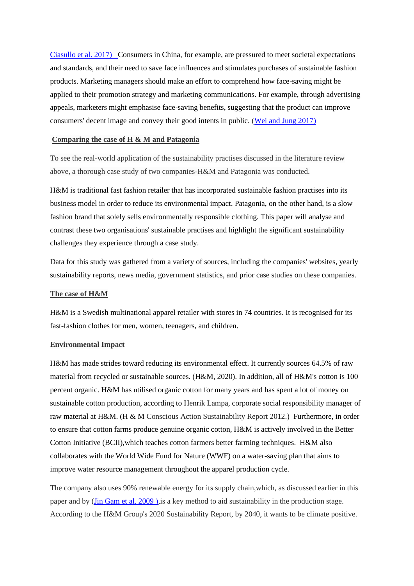[Ciasullo et al. 2017\) C](https://www.mdpi.com/2071-1050/9/9/1617)onsumers in China, for example, are pressured to meet societal expectations and standards, and their need to save face influences and stimulates purchases of sustainable fashion products. Marketing managers should make an effort to comprehend how face-saving might be applied to their promotion strategy and marketing communications. For example, through advertising appeals, marketers might emphasise face-saving benefits, suggesting that the product can improve consumers' decent image and convey their good intents in public. [\(Wei and Jung 2017\)](https://www.mdpi.com/2071-1050/9/9/1570)

## **Comparing the case of H & M and Patagonia**

To see the real-world application of the sustainability practises discussed in the literature review above, a thorough case study of two companies-H&M and Patagonia was conducted.

H&M is traditional fast fashion retailer that has incorporated sustainable fashion practises into its business model in order to reduce its environmental impact. Patagonia, on the other hand, is a slow fashion brand that solely sells environmentally responsible clothing. This paper will analyse and contrast these two organisations' sustainable practises and highlight the significant sustainability challenges they experience through a case study.

Data for this study was gathered from a variety of sources, including the companies' websites, yearly sustainability reports, news media, government statistics, and prior case studies on these companies.

#### **The case of H&M**

H&M is a Swedish multinational apparel retailer with stores in 74 countries. It is recognised for its fast-fashion clothes for men, women, teenagers, and children.

## **Environmental Impact**

H&M has made strides toward reducing its environmental effect. It currently sources 64.5% of raw material from recycled or sustainable sources. (H&M, 2020). In addition, all of H&M's cotton is 100 percent organic. H&M has utilised organic cotton for many years and has spent a lot of money on sustainable cotton production, according to Henrik Lampa, corporate social responsibility manager of raw material at H&M. (H & M Conscious Action Sustainability Report 2012.) Furthermore, in order to ensure that cotton farms produce genuine organic cotton, H&M is actively involved in the Better Cotton Initiative (BCII),which teaches cotton farmers better farming techniques. H&M also collaborates with the World Wide Fund for Nature (WWF) on a water-saving plan that aims to improve water resource management throughout the apparel production cycle.

The company also uses 90% renewable energy for its supply chain,which, as discussed earlier in this paper and by (Jin Gam et al. 2009), is a key method to aid sustainability in the production stage. According to the H&M Group's 2020 Sustainability Report, by 2040, it wants to be climate positive.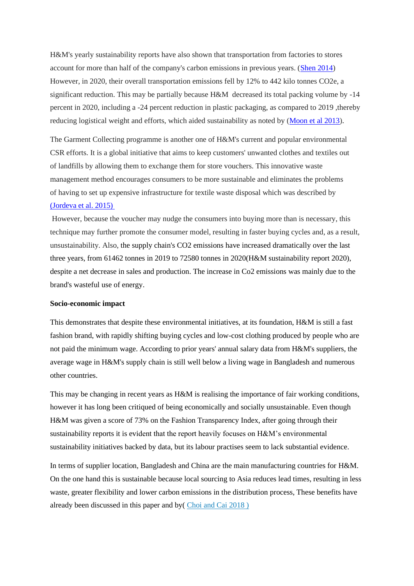H&M's yearly sustainability reports have also shown that transportation from factories to stores account for more than half of the company's carbon emissions in previous years. [\(Shen 2014\)](https://www.mdpi.com/2071-1050/6/9/6236) However, in 2020, their overall transportation emissions fell by 12% to 442 kilo tonnes CO2e, a significant reduction. This may be partially because H&M decreased its total packing volume by -14 percent in 2020, including a -24 percent reduction in plastic packaging, as compared to 2019 ,thereby reducing logistical weight and efforts, which aided sustainability as noted by [\(Moon et al 2013\)](https://www.sciencedirect.com/science/article/pii/S0925527313001102#bib11).

The Garment Collecting programme is another one of H&M's current and popular environmental CSR efforts. It is a global initiative that aims to keep customers' unwanted clothes and textiles out of landfills by allowing them to exchange them for store vouchers. This innovative waste management method encourages consumers to be more sustainable and eliminates the problems of having to set up expensive infrastructure for textile waste disposal which was described by [\(Jordeva et al. 2015\)](http://yadda.icm.edu.pl/yadda/element/bwmeta1.element.baztech-dd9d31ef-b018-49cf-8851-d02f37940b1f)

However, because the voucher may nudge the consumers into buying more than is necessary, this technique may further promote the consumer model, resulting in faster buying cycles and, as a result, unsustainability. Also, the supply chain's CO2 emissions have increased dramatically over the last three years, from 61462 tonnes in 2019 to 72580 tonnes in 2020(H&M sustainability report 2020), despite a net decrease in sales and production. The increase in Co2 emissions was mainly due to the brand's wasteful use of energy.

## **Socio-economic impact**

This demonstrates that despite these environmental initiatives, at its foundation, H&M is still a fast fashion brand, with rapidly shifting buying cycles and low-cost clothing produced by people who are not paid the minimum wage. According to prior years' annual salary data from H&M's suppliers, the average wage in H&M's supply chain is still well below a living wage in Bangladesh and numerous other countries.

This may be changing in recent years as H&M is realising the importance of fair working conditions, however it has long been critiqued of being economically and socially unsustainable. Even though H&M was given a score of 73% on the Fashion Transparency Index, after going through their sustainability reports it is evident that the report heavily focuses on H&M's environmental sustainability initiatives backed by data, but its labour practises seem to lack substantial evidence.

In terms of supplier location, Bangladesh and China are the main manufacturing countries for H&M. On the one hand this is sustainable because local sourcing to Asia reduces lead times, resulting in less waste, greater flexibility and lower carbon emissions in the distribution process, These benefits have already been discussed in this paper and by[\( Choi and Cai 2018](https://www.proquest.com/docview/2022456359?accountid=8268) )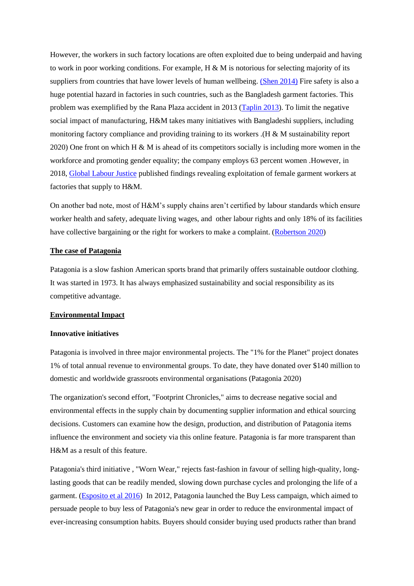However, the workers in such factory locations are often exploited due to being underpaid and having to work in poor working conditions. For example,  $H \& M$  is notorious for selecting majority of its suppliers from countries that have lower levels of human wellbeing. [\(Shen 2014\)](https://www.mdpi.com/2071-1050/6/9/6236) Fire safety is also a huge potential hazard in factories in such countries, such as the Bangladesh garment factories. This problem was exemplified by the Rana Plaza accident in 2013 [\(Taplin 2013\)](https://www.researchgate.net/profile/Ian-Taplin/publication/263406306_Who_is_to_blame_A_re-examination_of_fast_fashion_after_the_2013_factory_disaster_in_Bangladesh/links/56ed8f0708ae4b8b5e742a42/Who-is-to-blame-A-re-examination-of-fast-fashion-after-the-2013-factory-disaster-in-Bangladesh.pdf). To limit the negative social impact of manufacturing, H&M takes many initiatives with Bangladeshi suppliers, including monitoring factory compliance and providing training to its workers .(H & M sustainability report 2020) One front on which H & M is ahead of its competitors socially is including more women in the workforce and promoting gender equality; the company employs 63 percent women .However, in 2018, [Global Labour Justice](https://globallaborjustice.org/hm/) published findings revealing exploitation of female garment workers at factories that supply to H&M.

On another bad note, most of H&M's supply chains aren't certified by labour standards which ensure worker health and safety, adequate living wages, and other labour rights and only 18% of its facilities have collective bargaining or the right for workers to make a complaint. [\(Robertson 2020\)](https://goodonyou.eco/how-ethical-is-hm/)

#### **The case of Patagonia**

Patagonia is a slow fashion American sports brand that primarily offers sustainable outdoor clothing. It was started in 1973. It has always emphasized sustainability and social responsibility as its competitive advantage.

## **Environmental Impact**

## **Innovative initiatives**

Patagonia is involved in three major environmental projects. The "1% for the Planet" project donates 1% of total annual revenue to environmental groups. To date, they have donated over \$140 million to domestic and worldwide grassroots environmental organisations (Patagonia 2020)

The organization's second effort, "Footprint Chronicles," aims to decrease negative social and environmental effects in the supply chain by documenting supplier information and ethical sourcing decisions. Customers can examine how the design, production, and distribution of Patagonia items influence the environment and society via this online feature. Patagonia is far more transparent than H&M as a result of this feature.

Patagonia's third initiative , "Worn Wear," rejects fast-fashion in favour of selling high-quality, longlasting goods that can be readily mended, slowing down purchase cycles and prolonging the life of a garment. [\(Esposito et al 2016\)](https://hbr.org/2016/06/companies-are-working-with-consumers-to-reduce-waste) In 2012, Patagonia launched the Buy Less campaign, which aimed to persuade people to buy less of Patagonia's new gear in order to reduce the environmental impact of ever-increasing consumption habits. Buyers should consider buying used products rather than brand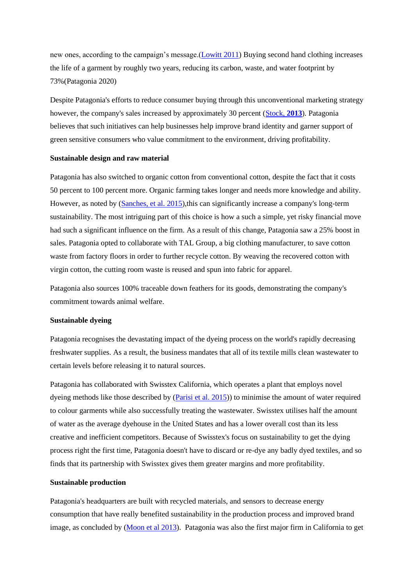new ones, according to the campaign's message.[\(Lowitt 2011\)](https://hbr.org/2011/10/patagonias-buy-less-campai) Buying second hand clothing increases the life of a garment by roughly two years, reducing its carbon, waste, and water footprint by 73%(Patagonia 2020)

Despite Patagonia's efforts to reduce consumer buying through this unconventional marketing strategy however, the company's sales increased by approximately 30 percent [\(Stock,](https://www.bloomberg.com/news/articles/2013-08-28/patagonias-buy-less-plea-spurs-more-buying) **2013**). Patagonia believes that such initiatives can help businesses help improve brand identity and garner support of green sensitive consumers who value commitment to the environment, driving profitability.

## **Sustainable design and raw material**

Patagonia has also switched to organic cotton from conventional cotton, despite the fact that it costs 50 percent to 100 percent more. Organic farming takes longer and needs more knowledge and ability. However, as noted by [\(Sanches, et al. 2015\)](http://repositorio.unicamp.br/bitstream/REPOSIP/346693/2/000366562800006.pdf), this can significantly increase a company's long-term sustainability. The most intriguing part of this choice is how a such a simple, yet risky financial move had such a significant influence on the firm. As a result of this change, Patagonia saw a 25% boost in sales. Patagonia opted to collaborate with TAL Group, a big clothing manufacturer, to save cotton waste from factory floors in order to further recycle cotton. By weaving the recovered cotton with virgin cotton, the cutting room waste is reused and spun into fabric for apparel.

Patagonia also sources 100% traceable down feathers for its goods, demonstrating the company's commitment towards animal welfare.

## **Sustainable dyeing**

Patagonia recognises the devastating impact of the dyeing process on the world's rapidly decreasing freshwater supplies. As a result, the business mandates that all of its textile mills clean wastewater to certain levels before releasing it to natural sources.

Patagonia has collaborated with Swisstex California, which operates a plant that employs novel dyeing methods like those described by (*Parisi et al. 2015*)) to minimise the amount of water required to colour garments while also successfully treating the wastewater. Swisstex utilises half the amount of water as the average dyehouse in the United States and has a lower overall cost than its less creative and inefficient competitors. Because of Swisstex's focus on sustainability to get the dying process right the first time, Patagonia doesn't have to discard or re-dye any badly dyed textiles, and so finds that its partnership with Swisstex gives them greater margins and more profitability.

#### **Sustainable production**

Patagonia's headquarters are built with recycled materials, and sensors to decrease energy consumption that have really benefited sustainability in the production process and improved brand image, as concluded by [\(Moon et al 2013\)](https://www.sciencedirect.com/science/article/pii/S0925527313001102#bib11). Patagonia was also the first major firm in California to get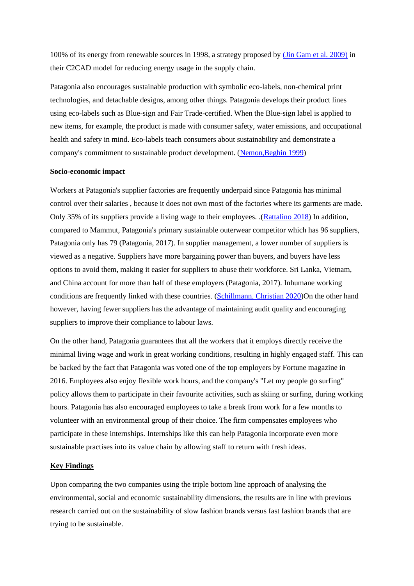100% of its energy from renewable sources in 1998, a strategy proposed by [\(Jin Gam et al. 2009\)](https://www.researchgate.net/profile/Hae-Jin-Gam-2/publication/235276183_C2CAD_A_sustainable_apparel_design_and_production_model/links/5c124478a6fdcc494ff0aee4/C2CAD-A-sustainable-apparel-design-and-production-model.pdf) in their C2CAD model for reducing energy usage in the supply chain.

Patagonia also encourages sustainable production with symbolic eco-labels, non-chemical print technologies, and detachable designs, among other things. Patagonia develops their product lines using eco-labels such as Blue-sign and Fair Trade-certified. When the Blue-sign label is applied to new items, for example, the product is made with consumer safety, water emissions, and occupational health and safety in mind. Eco-labels teach consumers about sustainability and demonstrate a company's commitment to sustainable product development. [\(Nemon,Beghin 1999\)](https://onlinelibrary.wiley.com/doi/abs/10.2307/1244325)

## **Socio-economic impact**

Workers at Patagonia's supplier factories are frequently underpaid since Patagonia has minimal control over their salaries , because it does not own most of the factories where its garments are made. Only 35% of its suppliers provide a living wage to their employees. .[\(Rattalino 2018\)](https://onlinelibrary.wiley.com/doi/full/10.1002/tie.21917?saml_referrer#tie21917-bib-0039) In addition, compared to Mammut, Patagonia's primary sustainable outerwear competitor which has 96 suppliers, Patagonia only has 79 (Patagonia, 2017). In supplier management, a lower number of suppliers is viewed as a negative. Suppliers have more bargaining power than buyers, and buyers have less options to avoid them, making it easier for suppliers to abuse their workforce. Sri Lanka, Vietnam, and China account for more than half of these employers (Patagonia, 2017). Inhumane working conditions are frequently linked with these countries. [\(Schillmann, Christian 2020\)](https://www.researchgate.net/profile/Christian-Schillmann/publication/345369716_Patagonia_Inc_under_a_sustainability_perspective/links/5fd208b745851568d1517824/Patagonia-Inc-under-a-sustainability-perspective.pdf)On the other hand however, having fewer suppliers has the advantage of maintaining audit quality and encouraging suppliers to improve their compliance to labour laws.

On the other hand, Patagonia guarantees that all the workers that it employs directly receive the minimal living wage and work in great working conditions, resulting in highly engaged staff. This can be backed by the fact that Patagonia was voted one of the top employers by Fortune magazine in 2016. Employees also enjoy flexible work hours, and the company's "Let my people go surfing" policy allows them to participate in their favourite activities, such as skiing or surfing, during working hours. Patagonia has also encouraged employees to take a break from work for a few months to volunteer with an environmental group of their choice. The firm compensates employees who participate in these internships. Internships like this can help Patagonia incorporate even more sustainable practises into its value chain by allowing staff to return with fresh ideas.

## **Key Findings**

Upon comparing the two companies using the triple bottom line approach of analysing the environmental, social and economic sustainability dimensions, the results are in line with previous research carried out on the sustainability of slow fashion brands versus fast fashion brands that are trying to be sustainable.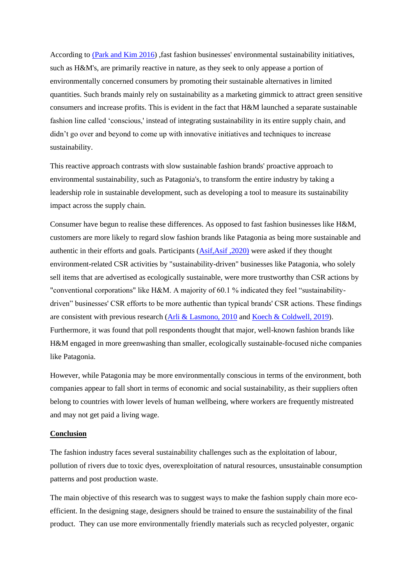According to [\(Park and Kim 2016\)](https://www.sciencedirect.com/science/article/abs/pii/S0969698915301508) ,fast fashion businesses' environmental sustainability initiatives, such as H&M's, are primarily reactive in nature, as they seek to only appease a portion of environmentally concerned consumers by promoting their sustainable alternatives in limited quantities. Such brands mainly rely on sustainability as a marketing gimmick to attract green sensitive consumers and increase profits. This is evident in the fact that H&M launched a separate sustainable fashion line called 'conscious,' instead of integrating sustainability in its entire supply chain, and didn't go over and beyond to come up with innovative initiatives and techniques to increase sustainability.

This reactive approach contrasts with slow sustainable fashion brands' proactive approach to environmental sustainability, such as Patagonia's, to transform the entire industry by taking a leadership role in sustainable development, such as developing a tool to measure its sustainability impact across the supply chain.

Consumer have begun to realise these differences. As opposed to fast fashion businesses like H&M, customers are more likely to regard slow fashion brands like Patagonia as being more sustainable and authentic in their efforts and goals. Participants [\(Asif,Asif ,2020\)](https://lup.lub.lu.se/student-papers/search/publication/9012816) were asked if they thought environment-related CSR activities by "sustainability-driven" businesses like Patagonia, who solely sell items that are advertised as ecologically sustainable, were more trustworthy than CSR actions by "conventional corporations" like H&M. A majority of 60.1 % indicated they feel "sustainabilitydriven" businesses' CSR efforts to be more authentic than typical brands' CSR actions. These findings are consistent with previous research [\(Arli & Lasmono, 2010](https://d1wqtxts1xzle7.cloudfront.net/47545119/j.1470-6431.2009.00824.x20160726-10501-1ira33t-with-cover-page-v2.pdf?Expires=1627905647&Signature=H0znW4uMr0ypQtf2MLag-aehAQl4S7p74faba0TRUcs-k~4YGPUno8ydklfrxtQKeKZcZeGd40j2baZk2sdSbcjCdBwwMvN~YUW8e~74b72caqG7GebPNjZvJVTK-9hpYKNKzBr~GDsr7ByM3P9TOeQp0h-wwUPYyk~nP5udYEhqrozjxowUC7dszThLo6z91VMQC4X4wFXvCLKJ7gpHqyOoQZ3EQRjmS3o3us0iPoCEetKiFFzg32AKei16njA1g2OFnpI-suOdcgdV7oxJXWs5kLBlbr~6HnZWCuEt9qJg-LdNgsQwdNTh~8~R9JAZS97jwbEO7gwz8Fq0afeoUw__&Key-Pair-Id=APKAJLOHF5GGSLRBV4ZA) and [Koech & Coldwell, 2019\)](https://www.econstor.eu/bitstream/10419/218698/1/sajbm-v50i1-0353.pdf). Furthermore, it was found that poll respondents thought that major, well-known fashion brands like H&M engaged in more greenwashing than smaller, ecologically sustainable-focused niche companies like Patagonia.

However, while Patagonia may be more environmentally conscious in terms of the environment, both companies appear to fall short in terms of economic and social sustainability, as their suppliers often belong to countries with lower levels of human wellbeing, where workers are frequently mistreated and may not get paid a living wage.

## **Conclusion**

The fashion industry faces several sustainability challenges such as the exploitation of labour, pollution of rivers due to toxic dyes, overexploitation of natural resources, unsustainable consumption patterns and post production waste.

The main objective of this research was to suggest ways to make the fashion supply chain more ecoefficient. In the designing stage, designers should be trained to ensure the sustainability of the final product. They can use more environmentally friendly materials such as recycled polyester, organic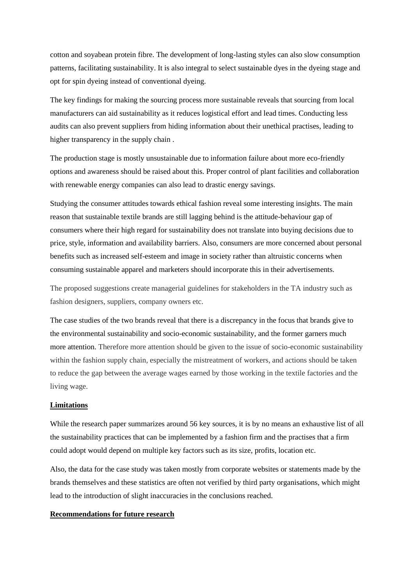cotton and soyabean protein fibre. The development of long-lasting styles can also slow consumption patterns, facilitating sustainability. It is also integral to select sustainable dyes in the dyeing stage and opt for spin dyeing instead of conventional dyeing.

The key findings for making the sourcing process more sustainable reveals that sourcing from local manufacturers can aid sustainability as it reduces logistical effort and lead times. Conducting less audits can also prevent suppliers from hiding information about their unethical practises, leading to higher transparency in the supply chain .

The production stage is mostly unsustainable due to information failure about more eco-friendly options and awareness should be raised about this. Proper control of plant facilities and collaboration with renewable energy companies can also lead to drastic energy savings.

Studying the consumer attitudes towards ethical fashion reveal some interesting insights. The main reason that sustainable textile brands are still lagging behind is the attitude-behaviour gap of consumers where their high regard for sustainability does not translate into buying decisions due to price, style, information and availability barriers. Also, consumers are more concerned about personal benefits such as increased self-esteem and image in society rather than altruistic concerns when consuming sustainable apparel and marketers should incorporate this in their advertisements.

The proposed suggestions create managerial guidelines for stakeholders in the TA industry such as fashion designers, suppliers, company owners etc.

The case studies of the two brands reveal that there is a discrepancy in the focus that brands give to the environmental sustainability and socio-economic sustainability, and the former garners much more attention. Therefore more attention should be given to the issue of socio-economic sustainability within the fashion supply chain, especially the mistreatment of workers, and actions should be taken to reduce the gap between the average wages earned by those working in the textile factories and the living wage.

# **Limitations**

While the research paper summarizes around 56 key sources, it is by no means an exhaustive list of all the sustainability practices that can be implemented by a fashion firm and the practises that a firm could adopt would depend on multiple key factors such as its size, profits, location etc.

Also, the data for the case study was taken mostly from corporate websites or statements made by the brands themselves and these statistics are often not verified by third party organisations, which might lead to the introduction of slight inaccuracies in the conclusions reached.

## **Recommendations for future research**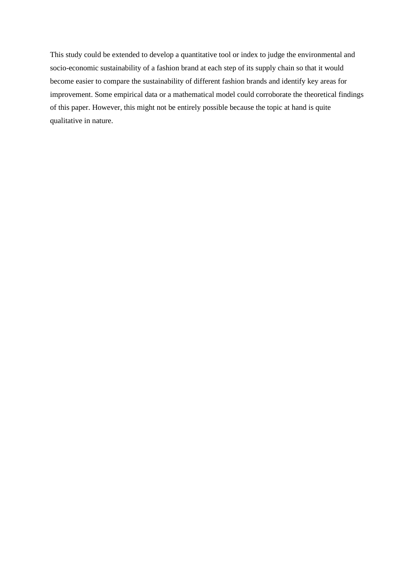This study could be extended to develop a quantitative tool or index to judge the environmental and socio-economic sustainability of a fashion brand at each step of its supply chain so that it would become easier to compare the sustainability of different fashion brands and identify key areas for improvement. Some empirical data or a mathematical model could corroborate the theoretical findings of this paper. However, this might not be entirely possible because the topic at hand is quite qualitative in nature.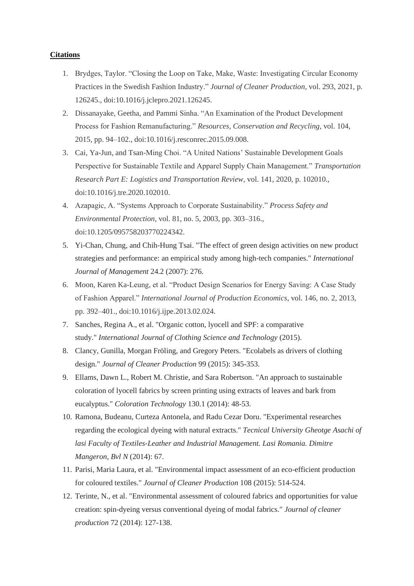## **Citations**

- 1. Brydges, Taylor. "Closing the Loop on Take, Make, Waste: Investigating Circular Economy Practices in the Swedish Fashion Industry." *Journal of Cleaner Production*, vol. 293, 2021, p. 126245., doi:10.1016/j.jclepro.2021.126245.
- 2. Dissanayake, Geetha, and Pammi Sinha. "An Examination of the Product Development Process for Fashion Remanufacturing." *Resources, Conservation and Recycling*, vol. 104, 2015, pp. 94–102., doi:10.1016/j.resconrec.2015.09.008.
- 3. Cai, Ya-Jun, and Tsan-Ming Choi. "A United Nations' Sustainable Development Goals Perspective for Sustainable Textile and Apparel Supply Chain Management." *Transportation Research Part E: Logistics and Transportation Review*, vol. 141, 2020, p. 102010., doi:10.1016/j.tre.2020.102010.
- 4. Azapagic, A. "Systems Approach to Corporate Sustainability." *Process Safety and Environmental Protection*, vol. 81, no. 5, 2003, pp. 303–316., doi:10.1205/095758203770224342.
- 5. Yi-Chan, Chung, and Chih-Hung Tsai. "The effect of green design activities on new product strategies and performance: an empirical study among high-tech companies." *International Journal of Management* 24.2 (2007): 276.
- 6. Moon, Karen Ka-Leung, et al. "Product Design Scenarios for Energy Saving: A Case Study of Fashion Apparel." *International Journal of Production Economics*, vol. 146, no. 2, 2013, pp. 392–401., doi:10.1016/j.ijpe.2013.02.024.
- 7. Sanches, Regina A., et al. "Organic cotton, lyocell and SPF: a comparative study." *International Journal of Clothing Science and Technology* (2015).
- 8. Clancy, Gunilla, Morgan Fröling, and Gregory Peters. "Ecolabels as drivers of clothing design." *Journal of Cleaner Production* 99 (2015): 345-353.
- 9. Ellams, Dawn L., Robert M. Christie, and Sara Robertson. "An approach to sustainable coloration of lyocell fabrics by screen printing using extracts of leaves and bark from eucalyptus." *Coloration Technology* 130.1 (2014): 48-53.
- 10. Ramona, Budeanu, Curteza Antonela, and Radu Cezar Doru. "Experimental researches regarding the ecological dyeing with natural extracts." *Tecnical University Gheotge Asachi of lasi Faculty of Textiles-Leather and Industrial Management. Lasi Romania. Dimitre Mangeron, Bvl N* (2014): 67.
- 11. Parisi, Maria Laura, et al. "Environmental impact assessment of an eco-efficient production for coloured textiles." *Journal of Cleaner Production* 108 (2015): 514-524.
- 12. Terinte, N., et al. "Environmental assessment of coloured fabrics and opportunities for value creation: spin-dyeing versus conventional dyeing of modal fabrics." *Journal of cleaner production* 72 (2014): 127-138.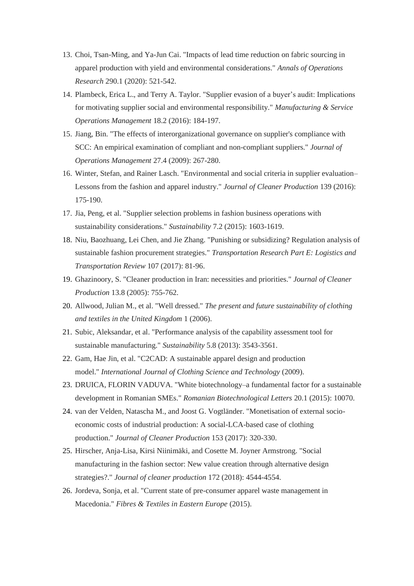- 13. Choi, Tsan-Ming, and Ya-Jun Cai. "Impacts of lead time reduction on fabric sourcing in apparel production with yield and environmental considerations." *Annals of Operations Research* 290.1 (2020): 521-542.
- 14. Plambeck, Erica L., and Terry A. Taylor. "Supplier evasion of a buyer's audit: Implications for motivating supplier social and environmental responsibility." *Manufacturing & Service Operations Management* 18.2 (2016): 184-197.
- 15. Jiang, Bin. "The effects of interorganizational governance on supplier's compliance with SCC: An empirical examination of compliant and non-compliant suppliers." *Journal of Operations Management* 27.4 (2009): 267-280.
- 16. Winter, Stefan, and Rainer Lasch. "Environmental and social criteria in supplier evaluation– Lessons from the fashion and apparel industry." *Journal of Cleaner Production* 139 (2016): 175-190.
- 17. Jia, Peng, et al. "Supplier selection problems in fashion business operations with sustainability considerations." *Sustainability* 7.2 (2015): 1603-1619.
- 18. Niu, Baozhuang, Lei Chen, and Jie Zhang. "Punishing or subsidizing? Regulation analysis of sustainable fashion procurement strategies." *Transportation Research Part E: Logistics and Transportation Review* 107 (2017): 81-96.
- 19. Ghazinoory, S. "Cleaner production in Iran: necessities and priorities." *Journal of Cleaner Production* 13.8 (2005): 755-762.
- 20. Allwood, Julian M., et al. "Well dressed." *The present and future sustainability of clothing and textiles in the United Kingdom* 1 (2006).
- 21. Subic, Aleksandar, et al. "Performance analysis of the capability assessment tool for sustainable manufacturing." *Sustainability* 5.8 (2013): 3543-3561.
- 22. Gam, Hae Jin, et al. "C2CAD: A sustainable apparel design and production model." *International Journal of Clothing Science and Technology* (2009).
- 23. DRUICA, FLORIN VADUVA. "White biotechnology–a fundamental factor for a sustainable development in Romanian SMEs." *Romanian Biotechnological Letters* 20.1 (2015): 10070.
- 24. van der Velden, Natascha M., and Joost G. Vogtländer. "Monetisation of external socioeconomic costs of industrial production: A social-LCA-based case of clothing production." *Journal of Cleaner Production* 153 (2017): 320-330.
- 25. Hirscher, Anja-Lisa, Kirsi Niinimäki, and Cosette M. Joyner Armstrong. "Social manufacturing in the fashion sector: New value creation through alternative design strategies?." *Journal of cleaner production* 172 (2018): 4544-4554.
- 26. Jordeva, Sonja, et al. "Current state of pre-consumer apparel waste management in Macedonia." *Fibres & Textiles in Eastern Europe* (2015).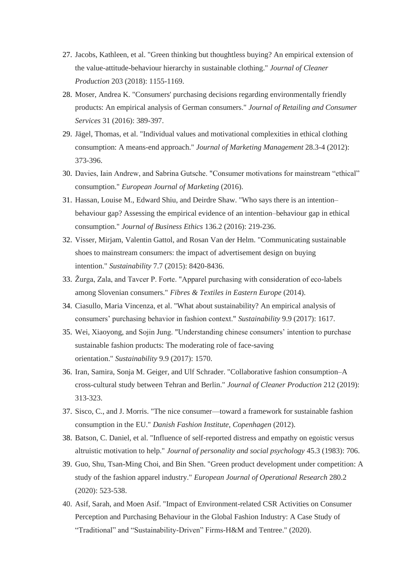- 27. Jacobs, Kathleen, et al. "Green thinking but thoughtless buying? An empirical extension of the value-attitude-behaviour hierarchy in sustainable clothing." *Journal of Cleaner Production* 203 (2018): 1155-1169.
- 28. Moser, Andrea K. "Consumers' purchasing decisions regarding environmentally friendly products: An empirical analysis of German consumers." *Journal of Retailing and Consumer Services* 31 (2016): 389-397.
- 29. Jägel, Thomas, et al. "Individual values and motivational complexities in ethical clothing consumption: A means-end approach." *Journal of Marketing Management* 28.3-4 (2012): 373-396.
- 30. Davies, Iain Andrew, and Sabrina Gutsche. "Consumer motivations for mainstream "ethical" consumption." *European Journal of Marketing* (2016).
- 31. Hassan, Louise M., Edward Shiu, and Deirdre Shaw. "Who says there is an intention– behaviour gap? Assessing the empirical evidence of an intention–behaviour gap in ethical consumption." *Journal of Business Ethics* 136.2 (2016): 219-236.
- 32. Visser, Mirjam, Valentin Gattol, and Rosan Van der Helm. "Communicating sustainable shoes to mainstream consumers: the impact of advertisement design on buying intention." *Sustainability* 7.7 (2015): 8420-8436.
- 33. Žurga, Zala, and Tavcer P. Forte. "Apparel purchasing with consideration of eco-labels among Slovenian consumers." *Fibres & Textiles in Eastern Europe* (2014).
- 34. Ciasullo, Maria Vincenza, et al. "What about sustainability? An empirical analysis of consumers' purchasing behavior in fashion context." *Sustainability* 9.9 (2017): 1617.
- 35. Wei, Xiaoyong, and Sojin Jung. "Understanding chinese consumers' intention to purchase sustainable fashion products: The moderating role of face-saving orientation." *Sustainability* 9.9 (2017): 1570.
- 36. Iran, Samira, Sonja M. Geiger, and Ulf Schrader. "Collaborative fashion consumption–A cross-cultural study between Tehran and Berlin." *Journal of Cleaner Production* 212 (2019): 313-323.
- 37. Sisco, C., and J. Morris. "The nice consumer—toward a framework for sustainable fashion consumption in the EU." *Danish Fashion Institute, Copenhagen* (2012).
- 38. Batson, C. Daniel, et al. "Influence of self-reported distress and empathy on egoistic versus altruistic motivation to help." *Journal of personality and social psychology* 45.3 (1983): 706.
- 39. Guo, Shu, Tsan-Ming Choi, and Bin Shen. "Green product development under competition: A study of the fashion apparel industry." *European Journal of Operational Research* 280.2 (2020): 523-538.
- 40. Asif, Sarah, and Moen Asif. "Impact of Environment-related CSR Activities on Consumer Perception and Purchasing Behaviour in the Global Fashion Industry: A Case Study of "Traditional" and "Sustainability-Driven" Firms-H&M and Tentree." (2020).